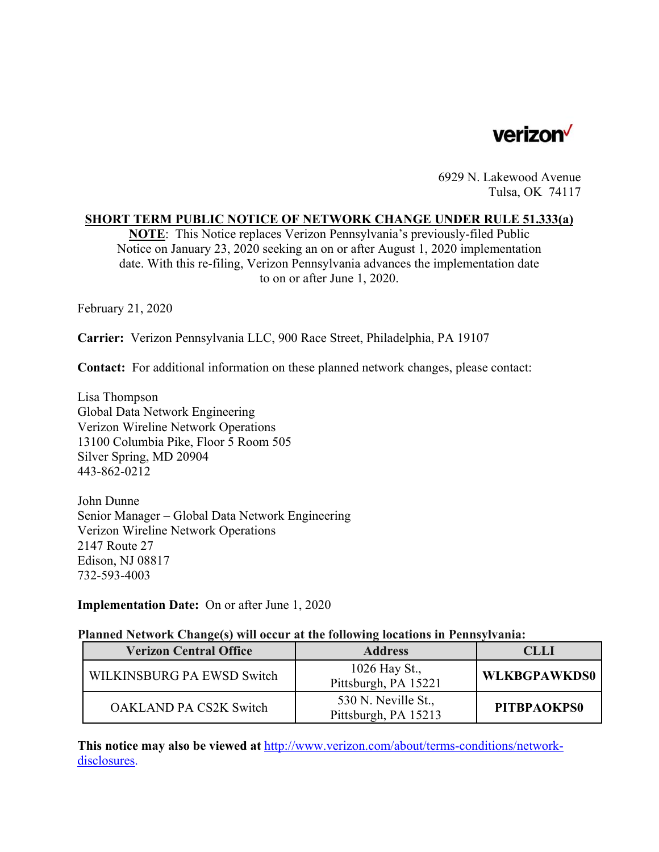

6929 N. Lakewood Avenue Tulsa, OK 74117

### **SHORT TERM PUBLIC NOTICE OF NETWORK CHANGE UNDER RULE 51.333(a)**

**NOTE**: This Notice replaces Verizon Pennsylvania's previously-filed Public Notice on January 23, 2020 seeking an on or after August 1, 2020 implementation date. With this re-filing, Verizon Pennsylvania advances the implementation date to on or after June 1, 2020.

February 21, 2020

**Carrier:** Verizon Pennsylvania LLC, 900 Race Street, Philadelphia, PA 19107

**Contact:** For additional information on these planned network changes, please contact:

Lisa Thompson Global Data Network Engineering Verizon Wireline Network Operations 13100 Columbia Pike, Floor 5 Room 505 Silver Spring, MD 20904 443-862-0212

John Dunne Senior Manager – Global Data Network Engineering Verizon Wireline Network Operations 2147 Route 27 Edison, NJ 08817 732-593-4003

### **Implementation Date:** On or after June 1, 2020

### **Planned Network Change(s) will occur at the following locations in Pennsylvania:**

| <b>Verizon Central Office</b> | <b>Address</b>                              | <b>CLLI</b>         |
|-------------------------------|---------------------------------------------|---------------------|
| WILKINSBURG PA EWSD Switch    | 1026 Hay St.,<br>Pittsburgh, PA 15221       | <b>WLKBGPAWKDS0</b> |
| <b>OAKLAND PA CS2K Switch</b> | 530 N. Neville St.,<br>Pittsburgh, PA 15213 | PITBPAOKPS0         |

**This notice may also be viewed at** http://www.verizon.com/about/terms-conditions/networkdisclosures.